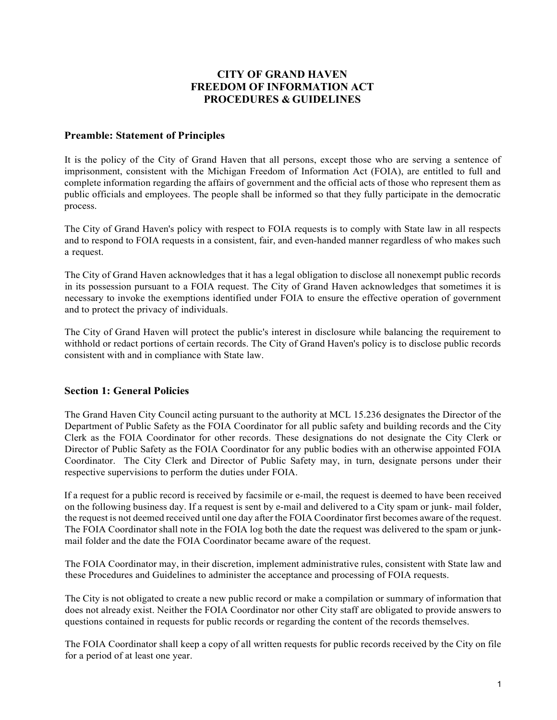# **CITY OF GRAND HAVEN FREEDOM OF INFORMATION ACT PROCEDURES & GUIDELINES**

#### **Preamble: Statement of Principles**

It is the policy of the City of Grand Haven that all persons, except those who are serving a sentence of imprisonment, consistent with the Michigan Freedom of Information Act (FOIA), are entitled to full and complete information regarding the affairs of government and the official acts of those who represent them as public officials and employees. The people shall be informed so that they fully participate in the democratic process.

The City of Grand Haven's policy with respect to FOIA requests is to comply with State law in all respects and to respond to FOIA requests in a consistent, fair, and even-handed manner regardless of who makes such a request.

The City of Grand Haven acknowledges that it has a legal obligation to disclose all nonexempt public records in its possession pursuant to a FOIA request. The City of Grand Haven acknowledges that sometimes it is necessary to invoke the exemptions identified under FOIA to ensure the effective operation of government and to protect the privacy of individuals.

The City of Grand Haven will protect the public's interest in disclosure while balancing the requirement to withhold or redact portions of certain records. The City of Grand Haven's policy is to disclose public records consistent with and in compliance with State law.

#### **Section 1: General Policies**

The Grand Haven City Council acting pursuant to the authority at MCL 15.236 designates the Director of the Department of Public Safety as the FOIA Coordinator for all public safety and building records and the City Clerk as the FOIA Coordinator for other records. These designations do not designate the City Clerk or Director of Public Safety as the FOIA Coordinator for any public bodies with an otherwise appointed FOIA Coordinator. The City Clerk and Director of Public Safety may, in turn, designate persons under their respective supervisions to perform the duties under FOIA.

If a request for a public record is received by facsimile or e-mail, the request is deemed to have been received on the following business day. If a request is sent by e-mail and delivered to a City spam or junk- mail folder, the request is not deemed received until one day after the FOIA Coordinator first becomes aware of the request. The FOIA Coordinator shall note in the FOIA log both the date the request was delivered to the spam or junkmail folder and the date the FOIA Coordinator became aware of the request.

The FOIA Coordinator may, in their discretion, implement administrative rules, consistent with State law and these Procedures and Guidelines to administer the acceptance and processing of FOIA requests.

The City is not obligated to create a new public record or make a compilation or summary of information that does not already exist. Neither the FOIA Coordinator nor other City staff are obligated to provide answers to questions contained in requests for public records or regarding the content of the records themselves.

The FOIA Coordinator shall keep a copy of all written requests for public records received by the City on file for a period of at least one year.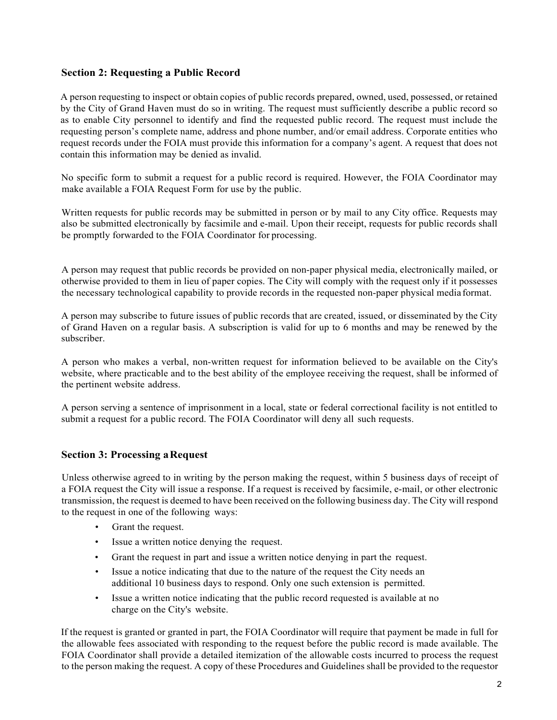#### **Section 2: Requesting a Public Record**

A person requesting to inspect or obtain copies of public records prepared, owned, used, possessed, or retained by the City of Grand Haven must do so in writing. The request must sufficiently describe a public record so as to enable City personnel to identify and find the requested public record. The request must include the requesting person's complete name, address and phone number, and/or email address. Corporate entities who request records under the FOIA must provide this information for a company's agent. A request that does not contain this information may be denied as invalid.

No specific form to submit a request for a public record is required. However, the FOIA Coordinator may make available a FOIA Request Form for use by the public.

Written requests for public records may be submitted in person or by mail to any City office. Requests may also be submitted electronically by facsimile and e-mail. Upon their receipt, requests for public records shall be promptly forwarded to the FOIA Coordinator for processing.

A person may request that public records be provided on non-paper physical media, electronically mailed, or otherwise provided to them in lieu of paper copies. The City will comply with the request only if it possesses the necessary technological capability to provide records in the requested non-paper physical media format.

A person may subscribe to future issues of public records that are created, issued, or disseminated by the City of Grand Haven on a regular basis. A subscription is valid for up to 6 months and may be renewed by the subscriber.

A person who makes a verbal, non-written request for information believed to be available on the City's website, where practicable and to the best ability of the employee receiving the request, shall be informed of the pertinent website address.

A person serving a sentence of imprisonment in a local, state or federal correctional facility is not entitled to submit a request for a public record. The FOIA Coordinator will deny all such requests.

# **Section 3: Processing aRequest**

Unless otherwise agreed to in writing by the person making the request, within 5 business days of receipt of a FOIA request the City will issue a response. If a request is received by facsimile, e-mail, or other electronic transmission, the request is deemed to have been received on the following business day. The City will respond to the request in one of the following ways:

- Grant the request.
- Issue a written notice denying the request.
- Grant the request in part and issue a written notice denying in part the request.
- Issue a notice indicating that due to the nature of the request the City needs an additional 10 business days to respond. Only one such extension is permitted.
- Issue a written notice indicating that the public record requested is available at no charge on the City's website.

If the request is granted or granted in part, the FOIA Coordinator will require that payment be made in full for the allowable fees associated with responding to the request before the public record is made available. The FOIA Coordinator shall provide a detailed itemization of the allowable costs incurred to process the request to the person making the request. A copy of these Procedures and Guidelines shall be provided to the requestor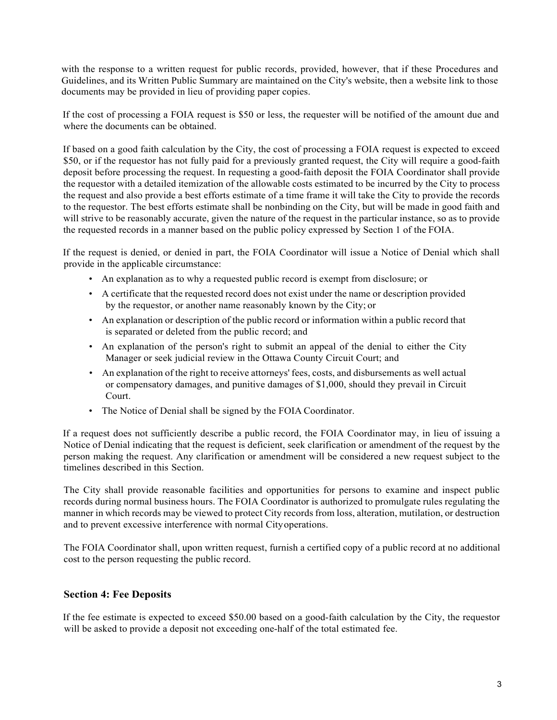with the response to a written request for public records, provided, however, that if these Procedures and Guidelines, and its Written Public Summary are maintained on the City's website, then a website link to those documents may be provided in lieu of providing paper copies.

If the cost of processing a FOIA request is \$50 or less, the requester will be notified of the amount due and where the documents can be obtained.

If based on a good faith calculation by the City, the cost of processing a FOIA request is expected to exceed \$50, or if the requestor has not fully paid for a previously granted request, the City will require a good-faith deposit before processing the request. In requesting a good-faith deposit the FOIA Coordinator shall provide the requestor with a detailed itemization of the allowable costs estimated to be incurred by the City to process the request and also provide a best efforts estimate of a time frame it will take the City to provide the records to the requestor. The best efforts estimate shall be nonbinding on the City, but will be made in good faith and will strive to be reasonably accurate, given the nature of the request in the particular instance, so as to provide the requested records in a manner based on the public policy expressed by Section 1 of the FOIA.

If the request is denied, or denied in part, the FOIA Coordinator will issue a Notice of Denial which shall provide in the applicable circumstance:

- An explanation as to why a requested public record is exempt from disclosure; or
- A certificate that the requested record does not exist under the name or description provided by the requestor, or another name reasonably known by the City; or
- An explanation or description of the public record or information within a public record that is separated or deleted from the public record; and
- An explanation of the person's right to submit an appeal of the denial to either the City Manager or seek judicial review in the Ottawa County Circuit Court; and
- An explanation of the right to receive attorneys' fees, costs, and disbursements as well actual or compensatory damages, and punitive damages of \$1,000, should they prevail in Circuit Court.
- The Notice of Denial shall be signed by the FOIA Coordinator.

If a request does not sufficiently describe a public record, the FOIA Coordinator may, in lieu of issuing a Notice of Denial indicating that the request is deficient, seek clarification or amendment of the request by the person making the request. Any clarification or amendment will be considered a new request subject to the timelines described in this Section.

The City shall provide reasonable facilities and opportunities for persons to examine and inspect public records during normal business hours. The FOIA Coordinator is authorized to promulgate rules regulating the manner in which records may be viewed to protect City records from loss, alteration, mutilation, or destruction and to prevent excessive interference with normal Cityoperations.

The FOIA Coordinator shall, upon written request, furnish a certified copy of a public record at no additional cost to the person requesting the public record.

#### **Section 4: Fee Deposits**

If the fee estimate is expected to exceed \$50.00 based on a good-faith calculation by the City, the requestor will be asked to provide a deposit not exceeding one-half of the total estimated fee.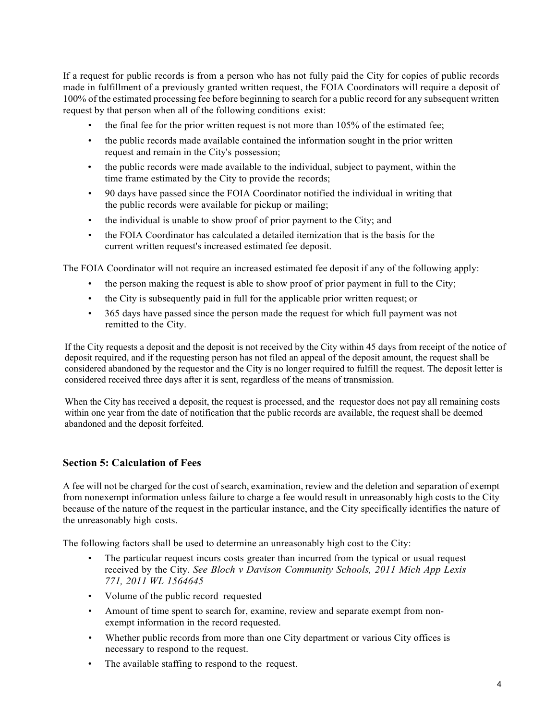If a request for public records is from a person who has not fully paid the City for copies of public records made in fulfillment of a previously granted written request, the FOIA Coordinators will require a deposit of 100% of the estimated processing fee before beginning to search for a public record for any subsequent written request by that person when all of the following conditions exist:

- the final fee for the prior written request is not more than 105% of the estimated fee;
- the public records made available contained the information sought in the prior written request and remain in the City's possession;
- the public records were made available to the individual, subject to payment, within the time frame estimated by the City to provide the records;
- 90 days have passed since the FOIA Coordinator notified the individual in writing that the public records were available for pickup or mailing;
- the individual is unable to show proof of prior payment to the City; and
- the FOIA Coordinator has calculated a detailed itemization that is the basis for the current written request's increased estimated fee deposit.

The FOIA Coordinator will not require an increased estimated fee deposit if any of the following apply:

- the person making the request is able to show proof of prior payment in full to the City;
- the City is subsequently paid in full for the applicable prior written request; or
- 365 days have passed since the person made the request for which full payment was not remitted to the City.

If the City requests a deposit and the deposit is not received by the City within 45 days from receipt of the notice of deposit required, and if the requesting person has not filed an appeal of the deposit amount, the request shall be considered abandoned by the requestor and the City is no longer required to fulfill the request. The deposit letter is considered received three days after it is sent, regardless of the means of transmission.

When the City has received a deposit, the request is processed, and the requestor does not pay all remaining costs within one year from the date of notification that the public records are available, the request shall be deemed abandoned and the deposit forfeited.

# **Section 5: Calculation of Fees**

A fee will not be charged for the cost of search, examination, review and the deletion and separation of exempt from nonexempt information unless failure to charge a fee would result in unreasonably high costs to the City because of the nature of the request in the particular instance, and the City specifically identifies the nature of the unreasonably high costs.

The following factors shall be used to determine an unreasonably high cost to the City:

- The particular request incurs costs greater than incurred from the typical or usual request received by the City. *See Bloch v Davison Community Schools, 2011 Mich App Lexis 771, 2011 WL 1564645*
- Volume of the public record requested
- Amount of time spent to search for, examine, review and separate exempt from nonexempt information in the record requested.
- Whether public records from more than one City department or various City offices is necessary to respond to the request.
- The available staffing to respond to the request.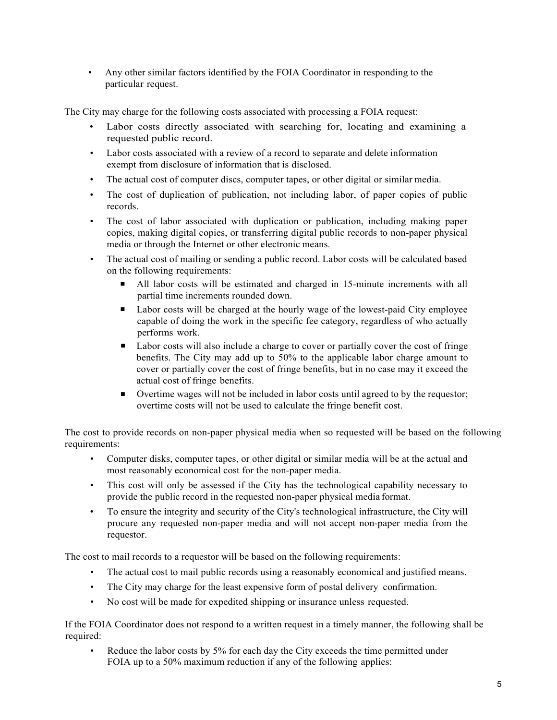• Any other similar factors identified by the FOIA Coordinator in responding to the particular request.

The City may charge for the following costs associated with processing a FOIA request:

- Labor costs directly associated with searching for, locating and examining a requested public record.
- Labor costs associated with a review of a record to separate and delete information exempt from disclosure of information that is disclosed.
- The actual cost of computer discs, computer tapes, or other digital or similar media.
- The cost of duplication of publication, not including labor, of paper copies of public records.
- The cost of labor associated with duplication or publication, including making paper copies, making digital copies, or transferring digital public records to non-paper physical media or through the Internet or other electronic means.
- The actual cost of mailing or sending a public record. Labor costs will be calculated based on the following requirements:
	- All labor costs will be estimated and charged in 15-minute increments with all partial time increments rounded down.
	- Labor costs will be charged at the hourly wage of the lowest-paid City employee capable of doing the work in the specific fee category, regardless of who actually performs work.
	- Labor costs will also include a charge to cover or partially cover the cost of fringe benefits. The City may add up to 50% to the applicable labor charge amount to cover or partially cover the cost of fringe benefits, but in no case may it exceed the actual cost of fringe benefits.
	- Overtime wages will not be included in labor costs until agreed to by the requestor; overtime costs will not be used to calculate the fringe benefit cost.

The cost to provide records on non-paper physical media when so requested will be based on the following requirements:

- Computer disks, computer tapes, or other digital or similar media will be at the actual and most reasonably economical cost for the non-paper media.
- This cost will only be assessed if the City has the technological capability necessary to provide the public record in the requested non-paper physical media format.
- To ensure the integrity and security of the City's technological infrastructure, the City will procure any requested non-paper media and will not accept non-paper media from the requestor.

The cost to mail records to a requestor will be based on the following requirements:

- The actual cost to mail public records using a reasonably economical and justified means.
- The City may charge for the least expensive form of postal delivery confirmation.
- No cost will be made for expedited shipping or insurance unless requested.

If the FOIA Coordinator does not respond to a written request in a timely manner, the following shall be required:

• Reduce the labor costs by 5% for each day the City exceeds the time permitted under FOIA up to a 50% maximum reduction if any of the following applies: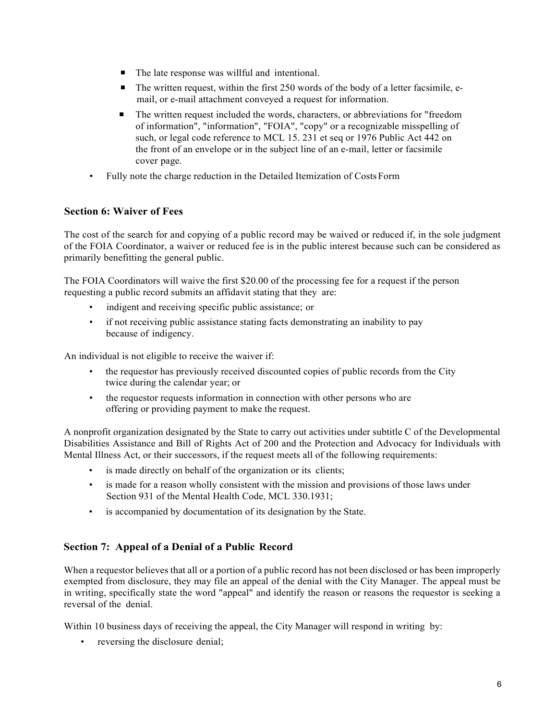- The late response was willful and intentional.
- The written request, within the first 250 words of the body of a letter facsimile, email, or e-mail attachment conveyed a request for information.
- The written request included the words, characters, or abbreviations for "freedom of information", "information", "FOIA", "copy" or a recognizable misspelling of such, or legal code reference to MCL 15. 231 et seq or 1976 Public Act 442 on the front of an envelope or in the subject line of an e-mail, letter or facsimile cover page.
- Fully note the charge reduction in the Detailed Itemization of CostsForm

# **Section 6: Waiver of Fees**

The cost of the search for and copying of a public record may be waived or reduced if, in the sole judgment of the FOIA Coordinator, a waiver or reduced fee is in the public interest because such can be considered as primarily benefitting the general public.

The FOIA Coordinators will waive the first \$20.00 of the processing fee for a request if the person requesting a public record submits an affidavit stating that they are:

- indigent and receiving specific public assistance; or
- if not receiving public assistance stating facts demonstrating an inability to pay because of indigency.

An individual is not eligible to receive the waiver if:

- the requestor has previously received discounted copies of public records from the City twice during the calendar year; or
- the requestor requests information in connection with other persons who are offering or providing payment to make the request.

A nonprofit organization designated by the State to carry out activities under subtitle C of the Developmental Disabilities Assistance and Bill of Rights Act of 200 and the Protection and Advocacy for Individuals with Mental Illness Act, or their successors, if the request meets all of the following requirements:

- is made directly on behalf of the organization or its clients;
- is made for a reason wholly consistent with the mission and provisions of those laws under Section 931 of the Mental Health Code, MCL 330.1931;
- is accompanied by documentation of its designation by the State.

# **Section 7: Appeal of a Denial of a Public Record**

When a requestor believes that all or a portion of a public record has not been disclosed or has been improperly exempted from disclosure, they may file an appeal of the denial with the City Manager. The appeal must be in writing, specifically state the word "appeal" and identify the reason or reasons the requestor is seeking a reversal of the denial.

Within 10 business days of receiving the appeal, the City Manager will respond in writing by:

• reversing the disclosure denial;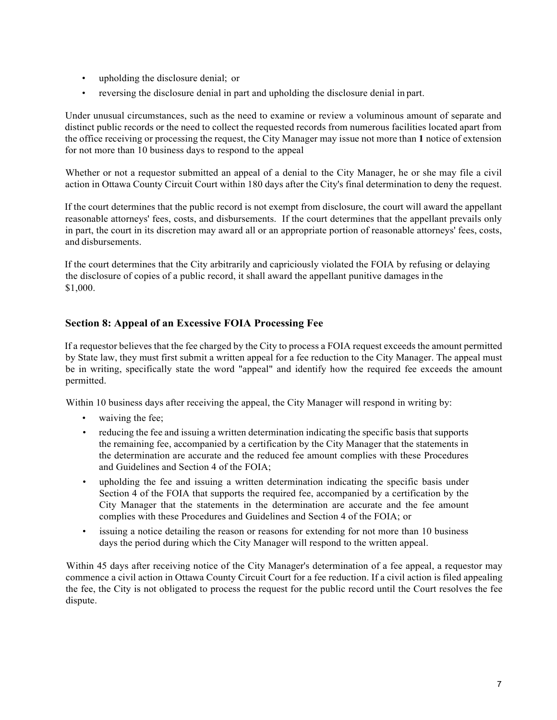- upholding the disclosure denial; or
- reversing the disclosure denial in part and upholding the disclosure denial in part.

Under unusual circumstances, such as the need to examine or review a voluminous amount of separate and distinct public records or the need to collect the requested records from numerous facilities located apart from the office receiving or processing the request, the City Manager may issue not more than **1** notice of extension for not more than 10 business days to respond to the appeal

Whether or not a requestor submitted an appeal of a denial to the City Manager, he or she may file a civil action in Ottawa County Circuit Court within 180 days after the City's final determination to deny the request.

If the court determines that the public record is not exempt from disclosure, the court will award the appellant reasonable attorneys' fees, costs, and disbursements. If the court determines that the appellant prevails only in part, the court in its discretion may award all or an appropriate portion of reasonable attorneys' fees, costs, and disbursements.

If the court determines that the City arbitrarily and capriciously violated the FOIA by refusing or delaying the disclosure of copies of a public record, it shall award the appellant punitive damages in the \$1,000.

# **Section 8: Appeal of an Excessive FOIA Processing Fee**

If a requestor believes that the fee charged by the City to process a FOIA request exceeds the amount permitted by State law, they must first submit a written appeal for a fee reduction to the City Manager. The appeal must be in writing, specifically state the word "appeal" and identify how the required fee exceeds the amount permitted.

Within 10 business days after receiving the appeal, the City Manager will respond in writing by:

- waiving the fee;
- reducing the fee and issuing a written determination indicating the specific basis that supports the remaining fee, accompanied by a certification by the City Manager that the statements in the determination are accurate and the reduced fee amount complies with these Procedures and Guidelines and Section 4 of the FOIA;
- upholding the fee and issuing a written determination indicating the specific basis under Section 4 of the FOIA that supports the required fee, accompanied by a certification by the City Manager that the statements in the determination are accurate and the fee amount complies with these Procedures and Guidelines and Section 4 of the FOIA; or
- issuing a notice detailing the reason or reasons for extending for not more than 10 business days the period during which the City Manager will respond to the written appeal.

Within 45 days after receiving notice of the City Manager's determination of a fee appeal, a requestor may commence a civil action in Ottawa County Circuit Court for a fee reduction. If a civil action is filed appealing the fee, the City is not obligated to process the request for the public record until the Court resolves the fee dispute.